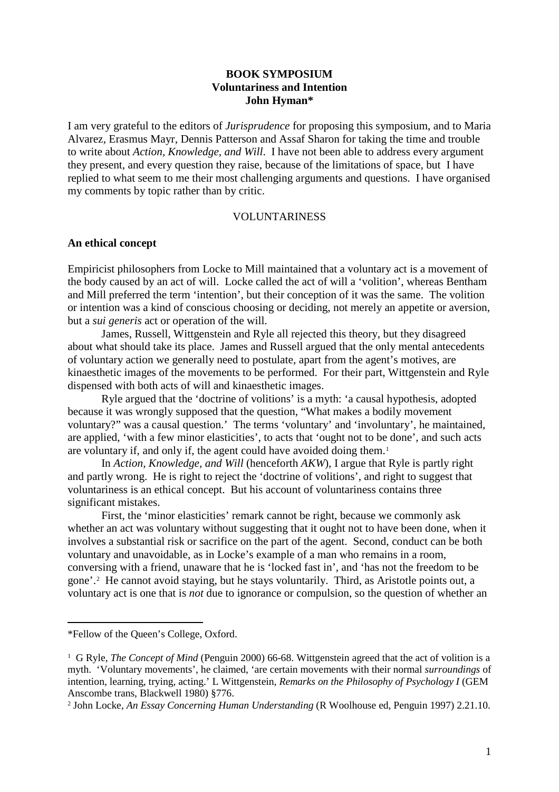# **BOOK SYMPOSIUM Voluntariness and Intention John Hyman\***

I am very grateful to the editors of *Jurisprudence* for proposing this symposium, and to Maria Alvarez, Erasmus Mayr, Dennis Patterson and Assaf Sharon for taking the time and trouble to write about *Action, Knowledge, and Will*. I have not been able to address every argument they present, and every question they raise, because of the limitations of space, but I have replied to what seem to me their most challenging arguments and questions. I have organised my comments by topic rather than by critic.

### VOLUNTARINESS

### **An ethical concept**

Empiricist philosophers from Locke to Mill maintained that a voluntary act is a movement of the body caused by an act of will. Locke called the act of will a 'volition', whereas Bentham and Mill preferred the term 'intention', but their conception of it was the same. The volition or intention was a kind of conscious choosing or deciding, not merely an appetite or aversion, but a *sui generis* act or operation of the will.

James, Russell, Wittgenstein and Ryle all rejected this theory, but they disagreed about what should take its place. James and Russell argued that the only mental antecedents of voluntary action we generally need to postulate, apart from the agent's motives, are kinaesthetic images of the movements to be performed. For their part, Wittgenstein and Ryle dispensed with both acts of will and kinaesthetic images.

Ryle argued that the 'doctrine of volitions' is a myth: 'a causal hypothesis, adopted because it was wrongly supposed that the question, "What makes a bodily movement voluntary?" was a causal question.' The terms 'voluntary' and 'involuntary', he maintained, are applied, 'with a few minor elasticities', to acts that 'ought not to be done', and such acts are voluntary if, and only if, the agent could have avoided doing them.[1](#page-0-0)

In *Action, Knowledge, and Will* (henceforth *AKW*), I argue that Ryle is partly right and partly wrong. He is right to reject the 'doctrine of volitions', and right to suggest that voluntariness is an ethical concept. But his account of voluntariness contains three significant mistakes.

First, the 'minor elasticities' remark cannot be right, because we commonly ask whether an act was voluntary without suggesting that it ought not to have been done, when it involves a substantial risk or sacrifice on the part of the agent. Second, conduct can be both voluntary and unavoidable, as in Locke's example of a man who remains in a room, conversing with a friend, unaware that he is 'locked fast in', and 'has not the freedom to be gone'.[2](#page-0-1) He cannot avoid staying, but he stays voluntarily. Third, as Aristotle points out, a voluntary act is one that is *not* due to ignorance or compulsion, so the question of whether an

<span id="page-0-0"></span><sup>\*</sup>Fellow of the Queen's College, Oxford.

<sup>&</sup>lt;sup>1</sup> G Ryle, *The Concept of Mind* (Penguin 2000) 66-68. Wittgenstein agreed that the act of volition is a myth. 'Voluntary movements', he claimed, 'are certain movements with their normal *surroundings* of intention, learning, trying, acting.' L Wittgenstein, *Remarks on the Philosophy of Psychology I* (GEM Anscombe trans, Blackwell 1980) §776.

<span id="page-0-1"></span><sup>2</sup> John Locke, *An Essay Concerning Human Understanding* (R Woolhouse ed, Penguin 1997) 2.21.10.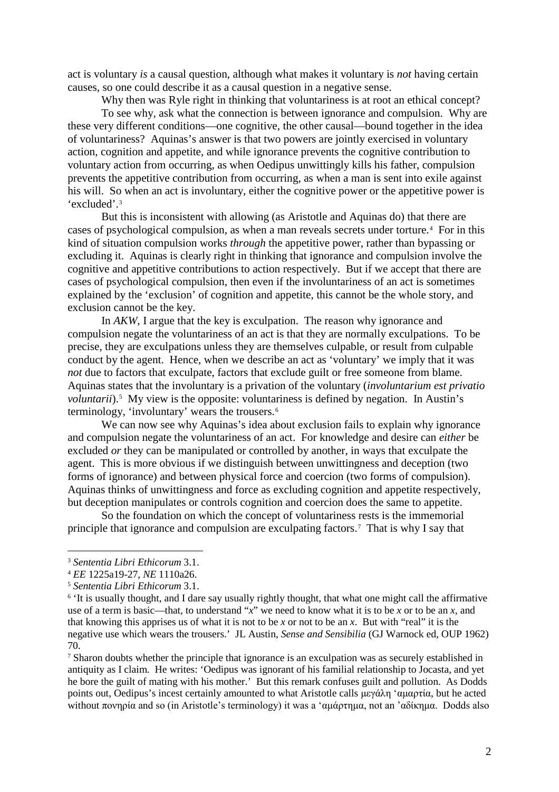act is voluntary *is* a causal question, although what makes it voluntary is *not* having certain causes, so one could describe it as a causal question in a negative sense.

Why then was Ryle right in thinking that voluntariness is at root an ethical concept? To see why, ask what the connection is between ignorance and compulsion. Why are these very different conditions—one cognitive, the other causal—bound together in the idea of voluntariness? Aquinas's answer is that two powers are jointly exercised in voluntary action, cognition and appetite, and while ignorance prevents the cognitive contribution to voluntary action from occurring, as when Oedipus unwittingly kills his father, compulsion prevents the appetitive contribution from occurring, as when a man is sent into exile against his will. So when an act is involuntary, either the cognitive power or the appetitive power is 'excluded'.[3](#page-1-0)

But this is inconsistent with allowing (as Aristotle and Aquinas do) that there are cases of psychological compulsion, as when a man reveals secrets under torture.<sup>[4](#page-1-1)</sup> For in this kind of situation compulsion works *through* the appetitive power, rather than bypassing or excluding it. Aquinas is clearly right in thinking that ignorance and compulsion involve the cognitive and appetitive contributions to action respectively. But if we accept that there are cases of psychological compulsion, then even if the involuntariness of an act is sometimes explained by the 'exclusion' of cognition and appetite, this cannot be the whole story, and exclusion cannot be the key.

In *AKW*, I argue that the key is exculpation. The reason why ignorance and compulsion negate the voluntariness of an act is that they are normally exculpations. To be precise, they are exculpations unless they are themselves culpable, or result from culpable conduct by the agent. Hence, when we describe an act as 'voluntary' we imply that it was *not* due to factors that exculpate, factors that exclude guilt or free someone from blame. Aquinas states that the involuntary is a privation of the voluntary (*involuntarium est privatio voluntarii*).<sup>[5](#page-1-2)</sup> My view is the opposite: voluntariness is defined by negation. In Austin's terminology, 'involuntary' wears the trousers.<sup>[6](#page-1-3)</sup>

We can now see why Aquinas's idea about exclusion fails to explain why ignorance and compulsion negate the voluntariness of an act. For knowledge and desire can *either* be excluded *or* they can be manipulated or controlled by another, in ways that exculpate the agent. This is more obvious if we distinguish between unwittingness and deception (two forms of ignorance) and between physical force and coercion (two forms of compulsion). Aquinas thinks of unwittingness and force as excluding cognition and appetite respectively, but deception manipulates or controls cognition and coercion does the same to appetite.

So the foundation on which the concept of voluntariness rests is the immemorial principle that ignorance and compulsion are exculpating factors.[7](#page-1-4) That is why I say that

 $\overline{a}$ 

<span id="page-1-4"></span><sup>7</sup> Sharon doubts whether the principle that ignorance is an exculpation was as securely established in antiquity as I claim. He writes: 'Oedipus was ignorant of his familial relationship to Jocasta, and yet he bore the guilt of mating with his mother.' But this remark confuses guilt and pollution. As Dodds points out, Oedipus's incest certainly amounted to what Aristotle calls μεγάλη 'αμαρτία, but he acted without πονηρία and so (in Aristotle's terminology) it was a 'αμάρτημα, not an 'αδίκημα. Dodds also

<span id="page-1-0"></span><sup>3</sup> *Sententia Libri Ethicorum* 3.1.

<span id="page-1-1"></span><sup>4</sup> *EE* 1225a19-27, *NE* 1110a26.

<span id="page-1-2"></span><sup>5</sup> *Sententia Libri Ethicorum* 3.1.

<span id="page-1-3"></span><sup>&</sup>lt;sup>6</sup> It is usually thought, and I dare say usually rightly thought, that what one might call the affirmative use of a term is basic—that, to understand "*x*" we need to know what it is to be *x* or to be an *x*, and that knowing this apprises us of what it is not to be *x* or not to be an *x*. But with "real" it is the negative use which wears the trousers.' JL Austin, *Sense and Sensibilia* (GJ Warnock ed, OUP 1962) 70.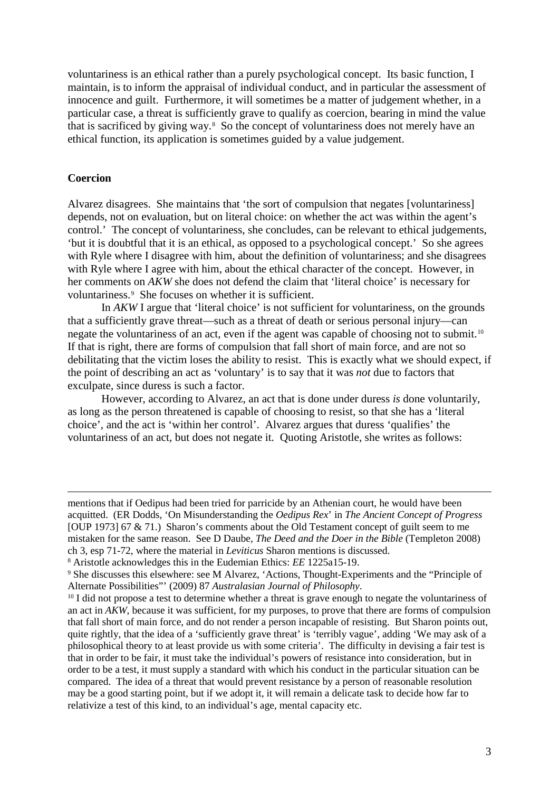voluntariness is an ethical rather than a purely psychological concept. Its basic function, I maintain, is to inform the appraisal of individual conduct, and in particular the assessment of innocence and guilt. Furthermore, it will sometimes be a matter of judgement whether, in a particular case, a threat is sufficiently grave to qualify as coercion, bearing in mind the value that is sacrificed by giving way.[8](#page-2-0) So the concept of voluntariness does not merely have an ethical function, its application is sometimes guided by a value judgement.

## **Coercion**

l

Alvarez disagrees. She maintains that 'the sort of compulsion that negates [voluntariness] depends, not on evaluation, but on literal choice: on whether the act was within the agent's control.' The concept of voluntariness, she concludes, can be relevant to ethical judgements, 'but it is doubtful that it is an ethical, as opposed to a psychological concept.' So she agrees with Ryle where I disagree with him, about the definition of voluntariness; and she disagrees with Ryle where I agree with him, about the ethical character of the concept. However, in her comments on *AKW* she does not defend the claim that 'literal choice' is necessary for voluntariness.[9](#page-2-1) She focuses on whether it is sufficient.

In *AKW* I argue that 'literal choice' is not sufficient for voluntariness, on the grounds that a sufficiently grave threat—such as a threat of death or serious personal injury—can negate the voluntariness of an act, even if the agent was capable of choosing not to submit.[10](#page-2-2)  If that is right, there are forms of compulsion that fall short of main force, and are not so debilitating that the victim loses the ability to resist. This is exactly what we should expect, if the point of describing an act as 'voluntary' is to say that it was *not* due to factors that exculpate, since duress is such a factor.

However, according to Alvarez, an act that is done under duress *is* done voluntarily, as long as the person threatened is capable of choosing to resist, so that she has a 'literal choice', and the act is 'within her control'. Alvarez argues that duress 'qualifies' the voluntariness of an act, but does not negate it. Quoting Aristotle, she writes as follows:

mentions that if Oedipus had been tried for parricide by an Athenian court, he would have been acquitted. (ER Dodds, 'On Misunderstanding the *Oedipus Rex*' in *The Ancient Concept of Progress* [OUP 1973] 67 & 71.) Sharon's comments about the Old Testament concept of guilt seem to me mistaken for the same reason. See D Daube, *The Deed and the Doer in the Bible* (Templeton 2008) ch 3, esp 71-72, where the material in *Leviticus* Sharon mentions is discussed.

<span id="page-2-0"></span><sup>8</sup> Aristotle acknowledges this in the Eudemian Ethics: *EE* 1225a15-19.

<span id="page-2-1"></span><sup>9</sup> She discusses this elsewhere: see M Alvarez, 'Actions, Thought-Experiments and the "Principle of Alternate Possibilities"' (2009) 87 *Australasian Journal of Philosophy*.

<span id="page-2-2"></span><sup>&</sup>lt;sup>10</sup> I did not propose a test to determine whether a threat is grave enough to negate the voluntariness of an act in *AKW*, because it was sufficient, for my purposes, to prove that there are forms of compulsion that fall short of main force, and do not render a person incapable of resisting. But Sharon points out, quite rightly, that the idea of a 'sufficiently grave threat' is 'terribly vague', adding 'We may ask of a philosophical theory to at least provide us with some criteria'. The difficulty in devising a fair test is that in order to be fair, it must take the individual's powers of resistance into consideration, but in order to be a test, it must supply a standard with which his conduct in the particular situation can be compared. The idea of a threat that would prevent resistance by a person of reasonable resolution may be a good starting point, but if we adopt it, it will remain a delicate task to decide how far to relativize a test of this kind, to an individual's age, mental capacity etc.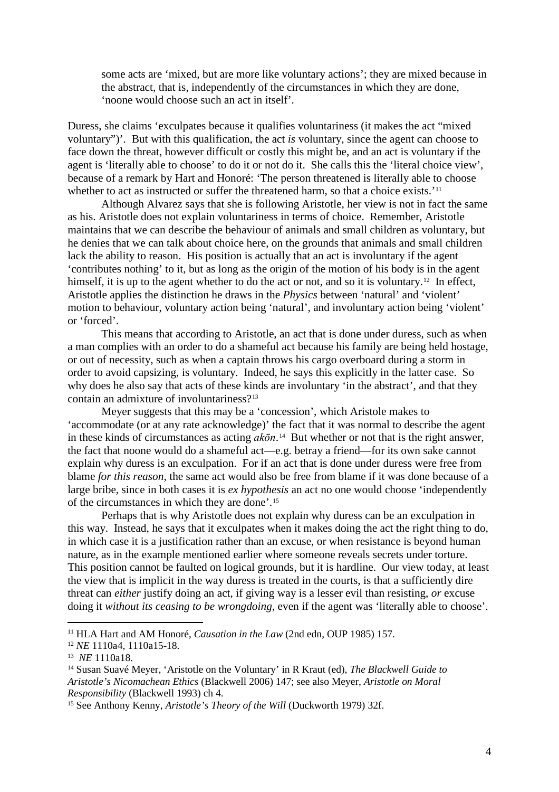some acts are 'mixed, but are more like voluntary actions'; they are mixed because in the abstract, that is, independently of the circumstances in which they are done, 'noone would choose such an act in itself'.

Duress, she claims 'exculpates because it qualifies voluntariness (it makes the act "mixed voluntary")'. But with this qualification, the act *is* voluntary, since the agent can choose to face down the threat, however difficult or costly this might be, and an act is voluntary if the agent is 'literally able to choose' to do it or not do it. She calls this the 'literal choice view', because of a remark by Hart and Honoré: 'The person threatened is literally able to choose whether to act as instructed or suffer the threatened harm, so that a choice exists.'<sup>[11](#page-3-0)</sup>

Although Alvarez says that she is following Aristotle, her view is not in fact the same as his. Aristotle does not explain voluntariness in terms of choice. Remember, Aristotle maintains that we can describe the behaviour of animals and small children as voluntary, but he denies that we can talk about choice here, on the grounds that animals and small children lack the ability to reason. His position is actually that an act is involuntary if the agent 'contributes nothing' to it, but as long as the origin of the motion of his body is in the agent himself, it is up to the agent whether to do the act or not, and so it is voluntary.<sup>[12](#page-3-1)</sup> In effect, Aristotle applies the distinction he draws in the *Physics* between 'natural' and 'violent' motion to behaviour, voluntary action being 'natural', and involuntary action being 'violent' or 'forced'.

This means that according to Aristotle, an act that is done under duress, such as when a man complies with an order to do a shameful act because his family are being held hostage, or out of necessity, such as when a captain throws his cargo overboard during a storm in order to avoid capsizing, is voluntary. Indeed, he says this explicitly in the latter case. So why does he also say that acts of these kinds are involuntary 'in the abstract', and that they contain an admixture of involuntariness?[13](#page-3-2)

Meyer suggests that this may be a 'concession', which Aristole makes to 'accommodate (or at any rate acknowledge)' the fact that it was normal to describe the agent in these kinds of circumstances as acting  $ak\bar{o}n$ <sup>14</sup> But whether or not that is the right answer, the fact that noone would do a shameful act—e.g. betray a friend—for its own sake cannot explain why duress is an exculpation. For if an act that is done under duress were free from blame *for this reason*, the same act would also be free from blame if it was done because of a large bribe, since in both cases it is *ex hypothesis* an act no one would choose 'independently of the circumstances in which they are done'.[15](#page-3-4)

Perhaps that is why Aristotle does not explain why duress can be an exculpation in this way. Instead, he says that it exculpates when it makes doing the act the right thing to do, in which case it is a justification rather than an excuse, or when resistance is beyond human nature, as in the example mentioned earlier where someone reveals secrets under torture. This position cannot be faulted on logical grounds, but it is hardline. Our view today, at least the view that is implicit in the way duress is treated in the courts, is that a sufficiently dire threat can *either* justify doing an act, if giving way is a lesser evil than resisting, *or* excuse doing it *without its ceasing to be wrongdoing*, even if the agent was 'literally able to choose'.

<span id="page-3-0"></span><sup>11</sup> HLA Hart and AM Honoré, *Causation in the Law* (2nd edn, OUP 1985) 157.

<span id="page-3-1"></span><sup>12</sup> *NE* 1110a4, 1110a15-18.

<span id="page-3-2"></span><sup>13</sup> *NE* 1110a18.

<span id="page-3-3"></span><sup>14</sup> Susan Suavé Meyer, 'Aristotle on the Voluntary' in R Kraut (ed), *The Blackwell Guide to Aristotle's Nicomachean Ethics* (Blackwell 2006) 147; see also Meyer, *Aristotle on Moral Responsibility* (Blackwell 1993) ch 4.

<span id="page-3-4"></span><sup>&</sup>lt;sup>15</sup> See Anthony Kenny, *Aristotle's Theory of the Will* (Duckworth 1979) 32f.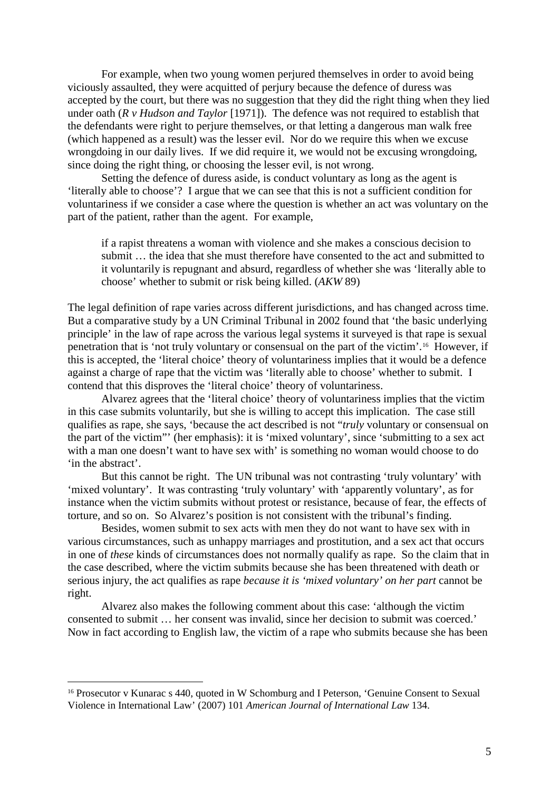For example, when two young women perjured themselves in order to avoid being viciously assaulted, they were acquitted of perjury because the defence of duress was accepted by the court, but there was no suggestion that they did the right thing when they lied under oath (*R v Hudson and Taylor* [1971]). The defence was not required to establish that the defendants were right to perjure themselves, or that letting a dangerous man walk free (which happened as a result) was the lesser evil. Nor do we require this when we excuse wrongdoing in our daily lives. If we did require it, we would not be excusing wrongdoing, since doing the right thing, or choosing the lesser evil, is not wrong.

Setting the defence of duress aside, is conduct voluntary as long as the agent is 'literally able to choose'? I argue that we can see that this is not a sufficient condition for voluntariness if we consider a case where the question is whether an act was voluntary on the part of the patient, rather than the agent. For example,

if a rapist threatens a woman with violence and she makes a conscious decision to submit … the idea that she must therefore have consented to the act and submitted to it voluntarily is repugnant and absurd, regardless of whether she was 'literally able to choose' whether to submit or risk being killed. (*AKW* 89)

The legal definition of rape varies across different jurisdictions, and has changed across time. But a comparative study by a UN Criminal Tribunal in 2002 found that 'the basic underlying principle' in the law of rape across the various legal systems it surveyed is that rape is sexual penetration that is 'not truly voluntary or consensual on the part of the victim'.[16](#page-4-0) However, if this is accepted, the 'literal choice' theory of voluntariness implies that it would be a defence against a charge of rape that the victim was 'literally able to choose' whether to submit. I contend that this disproves the 'literal choice' theory of voluntariness.

Alvarez agrees that the 'literal choice' theory of voluntariness implies that the victim in this case submits voluntarily, but she is willing to accept this implication. The case still qualifies as rape, she says, 'because the act described is not "*truly* voluntary or consensual on the part of the victim"' (her emphasis): it is 'mixed voluntary', since 'submitting to a sex act with a man one doesn't want to have sex with' is something no woman would choose to do 'in the abstract'.

But this cannot be right. The UN tribunal was not contrasting 'truly voluntary' with 'mixed voluntary'. It was contrasting 'truly voluntary' with 'apparently voluntary', as for instance when the victim submits without protest or resistance, because of fear, the effects of torture, and so on. So Alvarez's position is not consistent with the tribunal's finding.

Besides, women submit to sex acts with men they do not want to have sex with in various circumstances, such as unhappy marriages and prostitution, and a sex act that occurs in one of *these* kinds of circumstances does not normally qualify as rape. So the claim that in the case described, where the victim submits because she has been threatened with death or serious injury, the act qualifies as rape *because it is 'mixed voluntary' on her part* cannot be right.

Alvarez also makes the following comment about this case: 'although the victim consented to submit … her consent was invalid, since her decision to submit was coerced.' Now in fact according to English law, the victim of a rape who submits because she has been

<span id="page-4-0"></span><sup>&</sup>lt;sup>16</sup> Prosecutor v Kunarac s 440, quoted in W Schomburg and I Peterson, 'Genuine Consent to Sexual Violence in International Law' (2007) 101 *American Journal of International Law* 134.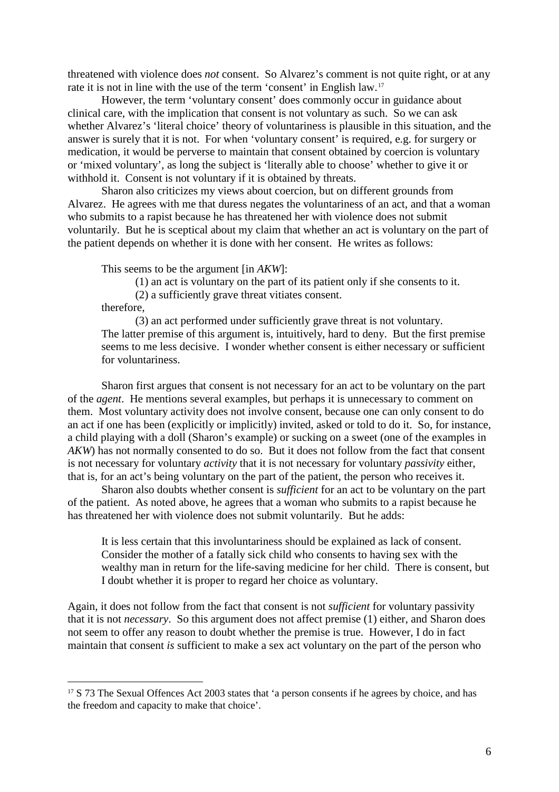threatened with violence does *not* consent. So Alvarez's comment is not quite right, or at any rate it is not in line with the use of the term 'consent' in English law.[17](#page-5-0)

However, the term 'voluntary consent' does commonly occur in guidance about clinical care, with the implication that consent is not voluntary as such. So we can ask whether Alvarez's 'literal choice' theory of voluntariness is plausible in this situation, and the answer is surely that it is not. For when 'voluntary consent' is required, e.g. for surgery or medication, it would be perverse to maintain that consent obtained by coercion is voluntary or 'mixed voluntary', as long the subject is 'literally able to choose' whether to give it or withhold it. Consent is not voluntary if it is obtained by threats.

Sharon also criticizes my views about coercion, but on different grounds from Alvarez. He agrees with me that duress negates the voluntariness of an act, and that a woman who submits to a rapist because he has threatened her with violence does not submit voluntarily. But he is sceptical about my claim that whether an act is voluntary on the part of the patient depends on whether it is done with her consent. He writes as follows:

This seems to be the argument [in *AKW*]:

(1) an act is voluntary on the part of its patient only if she consents to it.

(2) a sufficiently grave threat vitiates consent.

therefore,

 $\overline{a}$ 

(3) an act performed under sufficiently grave threat is not voluntary. The latter premise of this argument is, intuitively, hard to deny. But the first premise seems to me less decisive. I wonder whether consent is either necessary or sufficient for voluntariness.

Sharon first argues that consent is not necessary for an act to be voluntary on the part of the *agent*. He mentions several examples, but perhaps it is unnecessary to comment on them. Most voluntary activity does not involve consent, because one can only consent to do an act if one has been (explicitly or implicitly) invited, asked or told to do it. So, for instance, a child playing with a doll (Sharon's example) or sucking on a sweet (one of the examples in *AKW*) has not normally consented to do so. But it does not follow from the fact that consent is not necessary for voluntary *activity* that it is not necessary for voluntary *passivity* either, that is, for an act's being voluntary on the part of the patient, the person who receives it.

Sharon also doubts whether consent is *sufficient* for an act to be voluntary on the part of the patient. As noted above, he agrees that a woman who submits to a rapist because he has threatened her with violence does not submit voluntarily. But he adds:

It is less certain that this involuntariness should be explained as lack of consent. Consider the mother of a fatally sick child who consents to having sex with the wealthy man in return for the life-saving medicine for her child. There is consent, but I doubt whether it is proper to regard her choice as voluntary.

Again, it does not follow from the fact that consent is not *sufficient* for voluntary passivity that it is not *necessary*. So this argument does not affect premise (1) either, and Sharon does not seem to offer any reason to doubt whether the premise is true. However, I do in fact maintain that consent *is* sufficient to make a sex act voluntary on the part of the person who

<span id="page-5-0"></span><sup>&</sup>lt;sup>17</sup> S 73 The Sexual Offences Act 2003 states that 'a person consents if he agrees by choice, and has the freedom and capacity to make that choice'.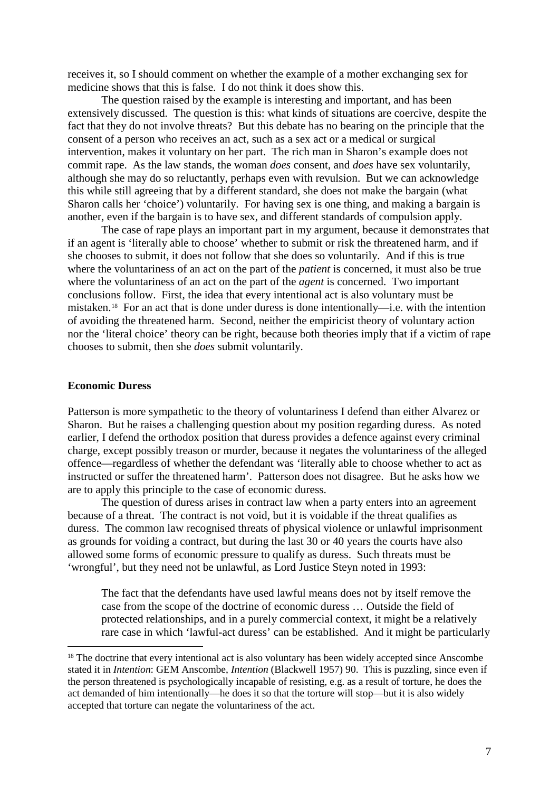receives it, so I should comment on whether the example of a mother exchanging sex for medicine shows that this is false. I do not think it does show this.

The question raised by the example is interesting and important, and has been extensively discussed. The question is this: what kinds of situations are coercive, despite the fact that they do not involve threats? But this debate has no bearing on the principle that the consent of a person who receives an act, such as a sex act or a medical or surgical intervention, makes it voluntary on her part. The rich man in Sharon's example does not commit rape. As the law stands, the woman *does* consent, and *does* have sex voluntarily, although she may do so reluctantly, perhaps even with revulsion. But we can acknowledge this while still agreeing that by a different standard, she does not make the bargain (what Sharon calls her 'choice') voluntarily. For having sex is one thing, and making a bargain is another, even if the bargain is to have sex, and different standards of compulsion apply.

The case of rape plays an important part in my argument, because it demonstrates that if an agent is 'literally able to choose' whether to submit or risk the threatened harm, and if she chooses to submit, it does not follow that she does so voluntarily. And if this is true where the voluntariness of an act on the part of the *patient* is concerned, it must also be true where the voluntariness of an act on the part of the *agent* is concerned. Two important conclusions follow. First, the idea that every intentional act is also voluntary must be mistaken.[18](#page-6-0) For an act that is done under duress is done intentionally—i.e. with the intention of avoiding the threatened harm. Second, neither the empiricist theory of voluntary action nor the 'literal choice' theory can be right, because both theories imply that if a victim of rape chooses to submit, then she *does* submit voluntarily.

# **Economic Duress**

 $\overline{a}$ 

Patterson is more sympathetic to the theory of voluntariness I defend than either Alvarez or Sharon. But he raises a challenging question about my position regarding duress. As noted earlier, I defend the orthodox position that duress provides a defence against every criminal charge, except possibly treason or murder, because it negates the voluntariness of the alleged offence—regardless of whether the defendant was 'literally able to choose whether to act as instructed or suffer the threatened harm'. Patterson does not disagree. But he asks how we are to apply this principle to the case of economic duress.

The question of duress arises in contract law when a party enters into an agreement because of a threat. The contract is not void, but it is voidable if the threat qualifies as duress. The common law recognised threats of physical violence or unlawful imprisonment as grounds for voiding a contract, but during the last 30 or 40 years the courts have also allowed some forms of economic pressure to qualify as duress. Such threats must be 'wrongful', but they need not be unlawful, as Lord Justice Steyn noted in 1993:

The fact that the defendants have used lawful means does not by itself remove the case from the scope of the doctrine of economic duress … Outside the field of protected relationships, and in a purely commercial context, it might be a relatively rare case in which 'lawful-act duress' can be established. And it might be particularly

<span id="page-6-0"></span><sup>&</sup>lt;sup>18</sup> The doctrine that every intentional act is also voluntary has been widely accepted since Anscombe stated it in *Intention*: GEM Anscombe, *Intention* (Blackwell 1957) 90. This is puzzling, since even if the person threatened is psychologically incapable of resisting, e.g. as a result of torture, he does the act demanded of him intentionally—he does it so that the torture will stop—but it is also widely accepted that torture can negate the voluntariness of the act.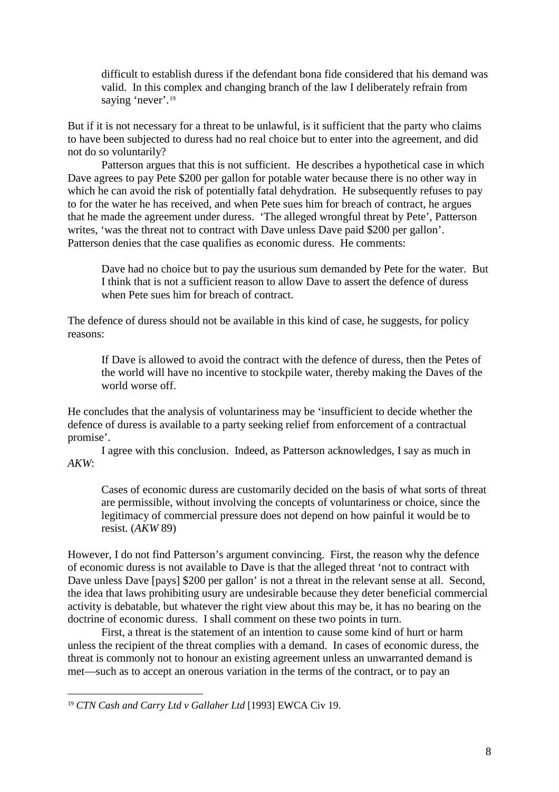difficult to establish duress if the defendant bona fide considered that his demand was valid. In this complex and changing branch of the law I deliberately refrain from saying 'never'.<sup>[19](#page-7-0)</sup>

But if it is not necessary for a threat to be unlawful, is it sufficient that the party who claims to have been subjected to duress had no real choice but to enter into the agreement, and did not do so voluntarily?

Patterson argues that this is not sufficient. He describes a hypothetical case in which Dave agrees to pay Pete \$200 per gallon for potable water because there is no other way in which he can avoid the risk of potentially fatal dehydration. He subsequently refuses to pay to for the water he has received, and when Pete sues him for breach of contract, he argues that he made the agreement under duress. 'The alleged wrongful threat by Pete', Patterson writes, 'was the threat not to contract with Dave unless Dave paid \$200 per gallon'. Patterson denies that the case qualifies as economic duress. He comments:

Dave had no choice but to pay the usurious sum demanded by Pete for the water. But I think that is not a sufficient reason to allow Dave to assert the defence of duress when Pete sues him for breach of contract.

The defence of duress should not be available in this kind of case, he suggests, for policy reasons:

If Dave is allowed to avoid the contract with the defence of duress, then the Petes of the world will have no incentive to stockpile water, thereby making the Daves of the world worse off.

He concludes that the analysis of voluntariness may be 'insufficient to decide whether the defence of duress is available to a party seeking relief from enforcement of a contractual promise'.

I agree with this conclusion. Indeed, as Patterson acknowledges, I say as much in *AKW*:

Cases of economic duress are customarily decided on the basis of what sorts of threat are permissible, without involving the concepts of voluntariness or choice, since the legitimacy of commercial pressure does not depend on how painful it would be to resist. (*AKW* 89)

However, I do not find Patterson's argument convincing. First, the reason why the defence of economic duress is not available to Dave is that the alleged threat 'not to contract with Dave unless Dave [pays] \$200 per gallon' is not a threat in the relevant sense at all. Second, the idea that laws prohibiting usury are undesirable because they deter beneficial commercial activity is debatable, but whatever the right view about this may be, it has no bearing on the doctrine of economic duress. I shall comment on these two points in turn.

First, a threat is the statement of an intention to cause some kind of hurt or harm unless the recipient of the threat complies with a demand. In cases of economic duress, the threat is commonly not to honour an existing agreement unless an unwarranted demand is met—such as to accept an onerous variation in the terms of the contract, or to pay an

l

<span id="page-7-0"></span><sup>19</sup> *CTN Cash and Carry Ltd v Gallaher Ltd* [1993] EWCA Civ 19.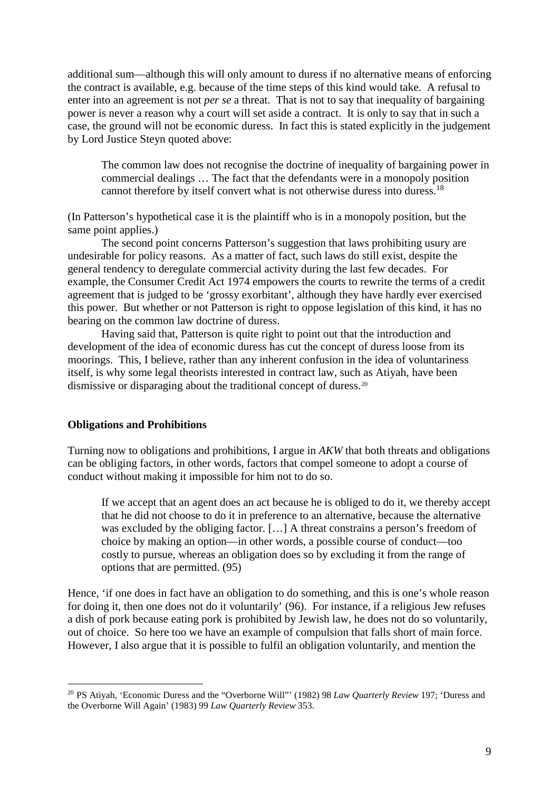additional sum—although this will only amount to duress if no alternative means of enforcing the contract is available, e.g. because of the time steps of this kind would take. A refusal to enter into an agreement is not *per se* a threat. That is not to say that inequality of bargaining power is never a reason why a court will set aside a contract. It is only to say that in such a case, the ground will not be economic duress. In fact this is stated explicitly in the judgement by Lord Justice Steyn quoted above:

The common law does not recognise the doctrine of inequality of bargaining power in commercial dealings … The fact that the defendants were in a monopoly position cannot therefore by itself convert what is not otherwise duress into duress.18

(In Patterson's hypothetical case it is the plaintiff who is in a monopoly position, but the same point applies.)

The second point concerns Patterson's suggestion that laws prohibiting usury are undesirable for policy reasons. As a matter of fact, such laws do still exist, despite the general tendency to deregulate commercial activity during the last few decades. For example, the Consumer Credit Act 1974 empowers the courts to rewrite the terms of a credit agreement that is judged to be 'grossy exorbitant', although they have hardly ever exercised this power. But whether or not Patterson is right to oppose legislation of this kind, it has no bearing on the common law doctrine of duress.

Having said that, Patterson is quite right to point out that the introduction and development of the idea of economic duress has cut the concept of duress loose from its moorings. This, I believe, rather than any inherent confusion in the idea of voluntariness itself, is why some legal theorists interested in contract law, such as Atiyah, have been dismissive or disparaging about the traditional concept of duress.<sup>[20](#page-8-0)</sup>

## **Obligations and Prohibitions**

 $\overline{a}$ 

Turning now to obligations and prohibitions, I argue in *AKW* that both threats and obligations can be obliging factors, in other words, factors that compel someone to adopt a course of conduct without making it impossible for him not to do so.

If we accept that an agent does an act because he is obliged to do it, we thereby accept that he did not choose to do it in preference to an alternative, because the alternative was excluded by the obliging factor. […] A threat constrains a person's freedom of choice by making an option—in other words, a possible course of conduct—too costly to pursue, whereas an obligation does so by excluding it from the range of options that are permitted. (95)

Hence, 'if one does in fact have an obligation to do something, and this is one's whole reason for doing it, then one does not do it voluntarily' (96). For instance, if a religious Jew refuses a dish of pork because eating pork is prohibited by Jewish law, he does not do so voluntarily, out of choice. So here too we have an example of compulsion that falls short of main force. However, I also argue that it is possible to fulfil an obligation voluntarily, and mention the

<span id="page-8-0"></span><sup>20</sup> PS Atiyah, 'Economic Duress and the "Overborne Will"' (1982) 98 *Law Quarterly Review* 197; 'Duress and the Overborne Will Again' (1983) 99 *Law Quarterly Review* 353.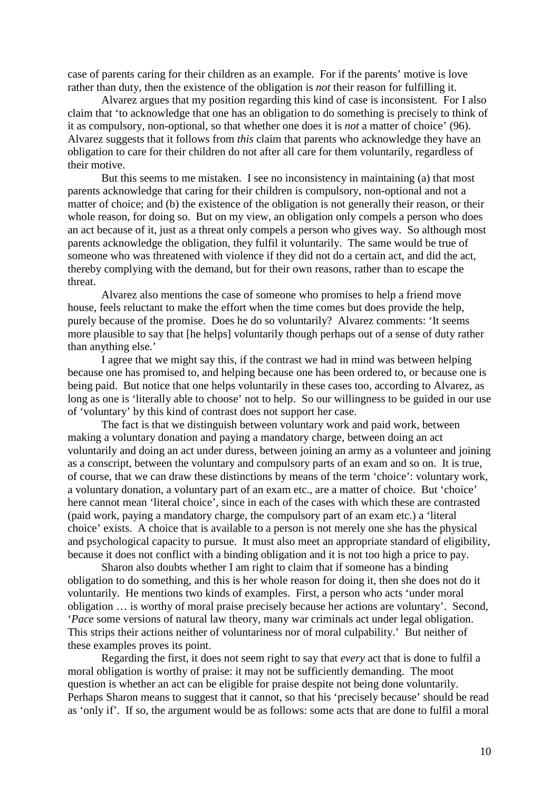case of parents caring for their children as an example. For if the parents' motive is love rather than duty, then the existence of the obligation is *not* their reason for fulfilling it.

Alvarez argues that my position regarding this kind of case is inconsistent. For I also claim that 'to acknowledge that one has an obligation to do something is precisely to think of it as compulsory, non-optional, so that whether one does it is *not* a matter of choice' (96). Alvarez suggests that it follows from *this* claim that parents who acknowledge they have an obligation to care for their children do not after all care for them voluntarily, regardless of their motive.

But this seems to me mistaken. I see no inconsistency in maintaining (a) that most parents acknowledge that caring for their children is compulsory, non-optional and not a matter of choice; and (b) the existence of the obligation is not generally their reason, or their whole reason, for doing so. But on my view, an obligation only compels a person who does an act because of it, just as a threat only compels a person who gives way. So although most parents acknowledge the obligation, they fulfil it voluntarily. The same would be true of someone who was threatened with violence if they did not do a certain act, and did the act, thereby complying with the demand, but for their own reasons, rather than to escape the threat.

Alvarez also mentions the case of someone who promises to help a friend move house, feels reluctant to make the effort when the time comes but does provide the help, purely because of the promise. Does he do so voluntarily? Alvarez comments: 'It seems more plausible to say that [he helps] voluntarily though perhaps out of a sense of duty rather than anything else.'

I agree that we might say this, if the contrast we had in mind was between helping because one has promised to, and helping because one has been ordered to, or because one is being paid. But notice that one helps voluntarily in these cases too, according to Alvarez, as long as one is 'literally able to choose' not to help. So our willingness to be guided in our use of 'voluntary' by this kind of contrast does not support her case.

The fact is that we distinguish between voluntary work and paid work, between making a voluntary donation and paying a mandatory charge, between doing an act voluntarily and doing an act under duress, between joining an army as a volunteer and joining as a conscript, between the voluntary and compulsory parts of an exam and so on. It is true, of course, that we can draw these distinctions by means of the term 'choice': voluntary work, a voluntary donation, a voluntary part of an exam etc., are a matter of choice. But 'choice' here cannot mean 'literal choice', since in each of the cases with which these are contrasted (paid work, paying a mandatory charge, the compulsory part of an exam etc.) a 'literal choice' exists. A choice that is available to a person is not merely one she has the physical and psychological capacity to pursue. It must also meet an appropriate standard of eligibility, because it does not conflict with a binding obligation and it is not too high a price to pay.

Sharon also doubts whether I am right to claim that if someone has a binding obligation to do something, and this is her whole reason for doing it, then she does not do it voluntarily. He mentions two kinds of examples. First, a person who acts 'under moral obligation … is worthy of moral praise precisely because her actions are voluntary'. Second, '*Pace* some versions of natural law theory, many war criminals act under legal obligation. This strips their actions neither of voluntariness nor of moral culpability.' But neither of these examples proves its point.

Regarding the first, it does not seem right to say that *every* act that is done to fulfil a moral obligation is worthy of praise: it may not be sufficiently demanding. The moot question is whether an act can be eligible for praise despite not being done voluntarily. Perhaps Sharon means to suggest that it cannot, so that his 'precisely because' should be read as 'only if'. If so, the argument would be as follows: some acts that are done to fulfil a moral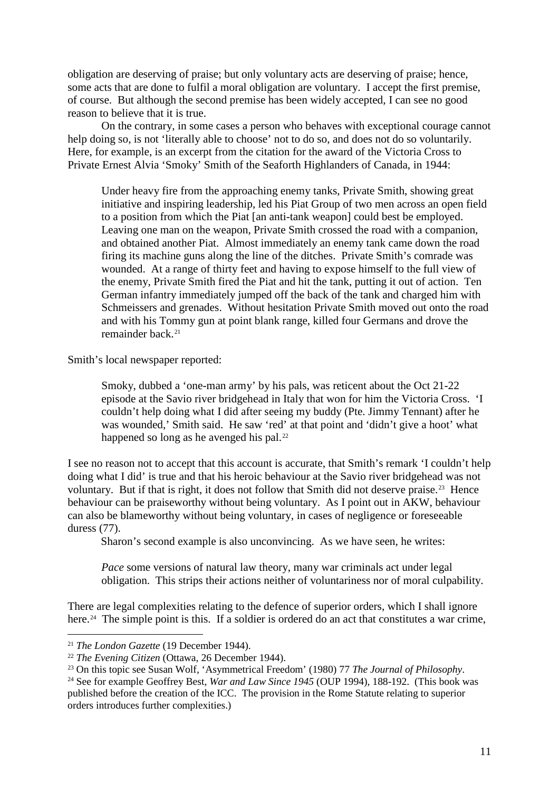obligation are deserving of praise; but only voluntary acts are deserving of praise; hence, some acts that are done to fulfil a moral obligation are voluntary. I accept the first premise, of course. But although the second premise has been widely accepted, I can see no good reason to believe that it is true.

On the contrary, in some cases a person who behaves with exceptional courage cannot help doing so, is not 'literally able to choose' not to do so, and does not do so voluntarily. Here, for example, is an excerpt from the citation for the award of the Victoria Cross to Private Ernest Alvia 'Smoky' Smith of the Seaforth Highlanders of Canada, in 1944:

Under heavy fire from the approaching enemy tanks, Private Smith, showing great initiative and inspiring leadership, led his Piat Group of two men across an open field to a position from which the Piat [an anti-tank weapon] could best be employed. Leaving one man on the weapon, Private Smith crossed the road with a companion, and obtained another Piat. Almost immediately an enemy tank came down the road firing its machine guns along the line of the ditches. Private Smith's comrade was wounded. At a range of thirty feet and having to expose himself to the full view of the enemy, Private Smith fired the Piat and hit the tank, putting it out of action. Ten German infantry immediately jumped off the back of the tank and charged him with Schmeissers and grenades. Without hesitation Private Smith moved out onto the road and with his Tommy gun at point blank range, killed four Germans and drove the remainder back.[21](#page-10-0)

Smith's local newspaper reported:

Smoky, dubbed a 'one-man army' by his pals, was reticent about the Oct 21-22 episode at the Savio river bridgehead in Italy that won for him the Victoria Cross. 'I couldn't help doing what I did after seeing my buddy (Pte. Jimmy Tennant) after he was wounded,' Smith said. He saw 'red' at that point and 'didn't give a hoot' what happened so long as he avenged his pal.<sup>[22](#page-10-1)</sup>

I see no reason not to accept that this account is accurate, that Smith's remark 'I couldn't help doing what I did' is true and that his heroic behaviour at the Savio river bridgehead was not voluntary. But if that is right, it does not follow that Smith did not deserve praise.<sup>[23](#page-10-2)</sup> Hence behaviour can be praiseworthy without being voluntary. As I point out in AKW, behaviour can also be blameworthy without being voluntary, in cases of negligence or foreseeable duress (77).

Sharon's second example is also unconvincing. As we have seen, he writes:

*Pace* some versions of natural law theory, many war criminals act under legal obligation. This strips their actions neither of voluntariness nor of moral culpability.

There are legal complexities relating to the defence of superior orders, which I shall ignore here.<sup>24</sup> The simple point is this. If a soldier is ordered do an act that constitutes a war crime,

<span id="page-10-0"></span><sup>21</sup> *The London Gazette* (19 December 1944).

<span id="page-10-1"></span><sup>22</sup> *The Evening Citizen* (Ottawa, 26 December 1944).

<span id="page-10-2"></span><sup>23</sup> On this topic see Susan Wolf, 'Asymmetrical Freedom' (1980) 77 *The Journal of Philosophy*.

<span id="page-10-3"></span><sup>&</sup>lt;sup>24</sup> See for example Geoffrey Best, *War and Law Since 1945* (OUP 1994), 188-192. (This book was published before the creation of the ICC. The provision in the Rome Statute relating to superior orders introduces further complexities.)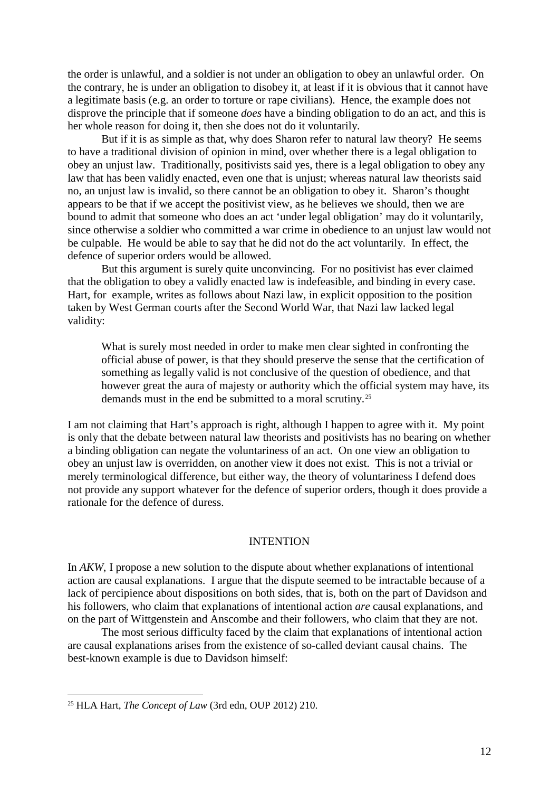the order is unlawful, and a soldier is not under an obligation to obey an unlawful order. On the contrary, he is under an obligation to disobey it, at least if it is obvious that it cannot have a legitimate basis (e.g. an order to torture or rape civilians). Hence, the example does not disprove the principle that if someone *does* have a binding obligation to do an act, and this is her whole reason for doing it, then she does not do it voluntarily.

But if it is as simple as that, why does Sharon refer to natural law theory? He seems to have a traditional division of opinion in mind, over whether there is a legal obligation to obey an unjust law. Traditionally, positivists said yes, there is a legal obligation to obey any law that has been validly enacted, even one that is unjust; whereas natural law theorists said no, an unjust law is invalid, so there cannot be an obligation to obey it. Sharon's thought appears to be that if we accept the positivist view, as he believes we should, then we are bound to admit that someone who does an act 'under legal obligation' may do it voluntarily, since otherwise a soldier who committed a war crime in obedience to an unjust law would not be culpable. He would be able to say that he did not do the act voluntarily. In effect, the defence of superior orders would be allowed.

But this argument is surely quite unconvincing. For no positivist has ever claimed that the obligation to obey a validly enacted law is indefeasible, and binding in every case. Hart, for example, writes as follows about Nazi law, in explicit opposition to the position taken by West German courts after the Second World War, that Nazi law lacked legal validity:

What is surely most needed in order to make men clear sighted in confronting the official abuse of power, is that they should preserve the sense that the certification of something as legally valid is not conclusive of the question of obedience, and that however great the aura of majesty or authority which the official system may have, its demands must in the end be submitted to a moral scrutiny.[25](#page-11-0)

I am not claiming that Hart's approach is right, although I happen to agree with it. My point is only that the debate between natural law theorists and positivists has no bearing on whether a binding obligation can negate the voluntariness of an act. On one view an obligation to obey an unjust law is overridden, on another view it does not exist. This is not a trivial or merely terminological difference, but either way, the theory of voluntariness I defend does not provide any support whatever for the defence of superior orders, though it does provide a rationale for the defence of duress.

#### **INTENTION**

In *AKW*, I propose a new solution to the dispute about whether explanations of intentional action are causal explanations. I argue that the dispute seemed to be intractable because of a lack of percipience about dispositions on both sides, that is, both on the part of Davidson and his followers, who claim that explanations of intentional action *are* causal explanations, and on the part of Wittgenstein and Anscombe and their followers, who claim that they are not.

The most serious difficulty faced by the claim that explanations of intentional action are causal explanations arises from the existence of so-called deviant causal chains. The best-known example is due to Davidson himself:

l

<span id="page-11-0"></span><sup>25</sup> HLA Hart, *The Concept of Law* (3rd edn, OUP 2012) 210.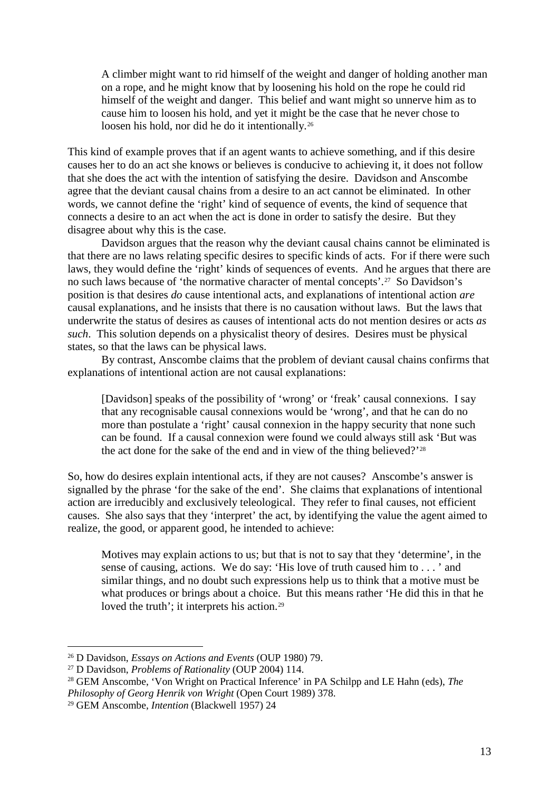A climber might want to rid himself of the weight and danger of holding another man on a rope, and he might know that by loosening his hold on the rope he could rid himself of the weight and danger. This belief and want might so unnerve him as to cause him to loosen his hold, and yet it might be the case that he never chose to loosen his hold, nor did he do it intentionally.[26](#page-12-0)

This kind of example proves that if an agent wants to achieve something, and if this desire causes her to do an act she knows or believes is conducive to achieving it, it does not follow that she does the act with the intention of satisfying the desire. Davidson and Anscombe agree that the deviant causal chains from a desire to an act cannot be eliminated. In other words, we cannot define the 'right' kind of sequence of events, the kind of sequence that connects a desire to an act when the act is done in order to satisfy the desire. But they disagree about why this is the case.

Davidson argues that the reason why the deviant causal chains cannot be eliminated is that there are no laws relating specific desires to specific kinds of acts. For if there were such laws, they would define the 'right' kinds of sequences of events. And he argues that there are no such laws because of 'the normative character of mental concepts'.[27](#page-12-1) So Davidson's position is that desires *do* cause intentional acts, and explanations of intentional action *are*  causal explanations, and he insists that there is no causation without laws. But the laws that underwrite the status of desires as causes of intentional acts do not mention desires or acts *as such*. This solution depends on a physicalist theory of desires. Desires must be physical states, so that the laws can be physical laws.

By contrast, Anscombe claims that the problem of deviant causal chains confirms that explanations of intentional action are not causal explanations:

[Davidson] speaks of the possibility of 'wrong' or 'freak' causal connexions. I say that any recognisable causal connexions would be 'wrong', and that he can do no more than postulate a 'right' causal connexion in the happy security that none such can be found. If a causal connexion were found we could always still ask 'But was the act done for the sake of the end and in view of the thing believed?'[28](#page-12-2)

So, how do desires explain intentional acts, if they are not causes? Anscombe's answer is signalled by the phrase 'for the sake of the end'. She claims that explanations of intentional action are irreducibly and exclusively teleological. They refer to final causes, not efficient causes. She also says that they 'interpret' the act, by identifying the value the agent aimed to realize, the good, or apparent good, he intended to achieve:

Motives may explain actions to us; but that is not to say that they 'determine', in the sense of causing, actions. We do say: 'His love of truth caused him to . . . ' and similar things, and no doubt such expressions help us to think that a motive must be what produces or brings about a choice. But this means rather 'He did this in that he loved the truth'; it interprets his action.<sup>[29](#page-12-3)</sup>

<span id="page-12-0"></span><sup>26</sup> D Davidson, *Essays on Actions and Events* (OUP 1980) 79.

<span id="page-12-1"></span><sup>27</sup> D Davidson, *Problems of Rationality* (OUP 2004) 114.

<span id="page-12-2"></span><sup>28</sup> GEM Anscombe, 'Von Wright on Practical Inference' in PA Schilpp and LE Hahn (eds), *The Philosophy of Georg Henrik von Wright* (Open Court 1989) 378.

<span id="page-12-3"></span><sup>29</sup> GEM Anscombe, *Intention* (Blackwell 1957) 24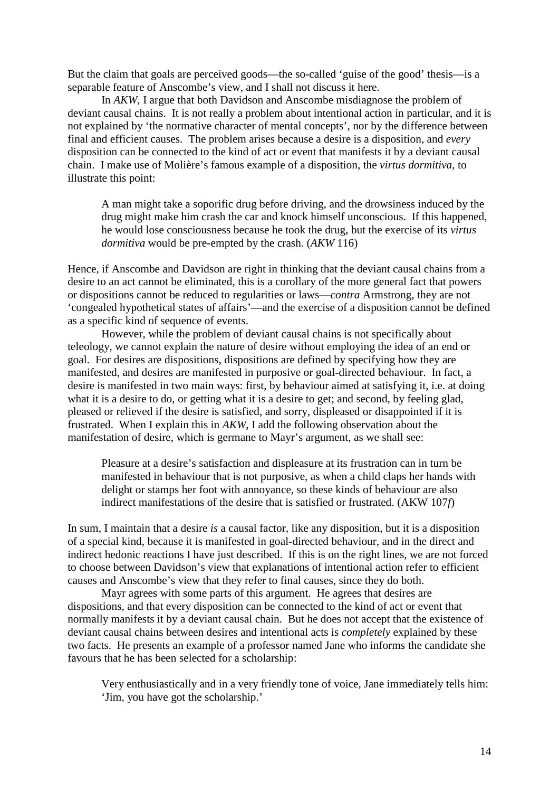But the claim that goals are perceived goods—the so-called 'guise of the good' thesis—is a separable feature of Anscombe's view, and I shall not discuss it here.

In *AKW*, I argue that both Davidson and Anscombe misdiagnose the problem of deviant causal chains. It is not really a problem about intentional action in particular, and it is not explained by 'the normative character of mental concepts', nor by the difference between final and efficient causes. The problem arises because a desire is a disposition, and *every*  disposition can be connected to the kind of act or event that manifests it by a deviant causal chain. I make use of Molière's famous example of a disposition, the *virtus dormitiva*, to illustrate this point:

A man might take a soporific drug before driving, and the drowsiness induced by the drug might make him crash the car and knock himself unconscious. If this happened, he would lose consciousness because he took the drug, but the exercise of its *virtus dormitiva* would be pre-empted by the crash. (*AKW* 116)

Hence, if Anscombe and Davidson are right in thinking that the deviant causal chains from a desire to an act cannot be eliminated, this is a corollary of the more general fact that powers or dispositions cannot be reduced to regularities or laws—*contra* Armstrong, they are not 'congealed hypothetical states of affairs'—and the exercise of a disposition cannot be defined as a specific kind of sequence of events.

However, while the problem of deviant causal chains is not specifically about teleology, we cannot explain the nature of desire without employing the idea of an end or goal. For desires are dispositions, dispositions are defined by specifying how they are manifested, and desires are manifested in purposive or goal-directed behaviour. In fact, a desire is manifested in two main ways: first, by behaviour aimed at satisfying it, i.e. at doing what it is a desire to do, or getting what it is a desire to get; and second, by feeling glad, pleased or relieved if the desire is satisfied, and sorry, displeased or disappointed if it is frustrated. When I explain this in *AKW*, I add the following observation about the manifestation of desire, which is germane to Mayr's argument, as we shall see:

Pleasure at a desire's satisfaction and displeasure at its frustration can in turn be manifested in behaviour that is not purposive, as when a child claps her hands with delight or stamps her foot with annoyance, so these kinds of behaviour are also indirect manifestations of the desire that is satisfied or frustrated. (AKW 107*f*)

In sum, I maintain that a desire *is* a causal factor, like any disposition, but it is a disposition of a special kind, because it is manifested in goal-directed behaviour, and in the direct and indirect hedonic reactions I have just described. If this is on the right lines, we are not forced to choose between Davidson's view that explanations of intentional action refer to efficient causes and Anscombe's view that they refer to final causes, since they do both.

Mayr agrees with some parts of this argument. He agrees that desires are dispositions, and that every disposition can be connected to the kind of act or event that normally manifests it by a deviant causal chain. But he does not accept that the existence of deviant causal chains between desires and intentional acts is *completely* explained by these two facts. He presents an example of a professor named Jane who informs the candidate she favours that he has been selected for a scholarship:

Very enthusiastically and in a very friendly tone of voice, Jane immediately tells him: 'Jim, you have got the scholarship.'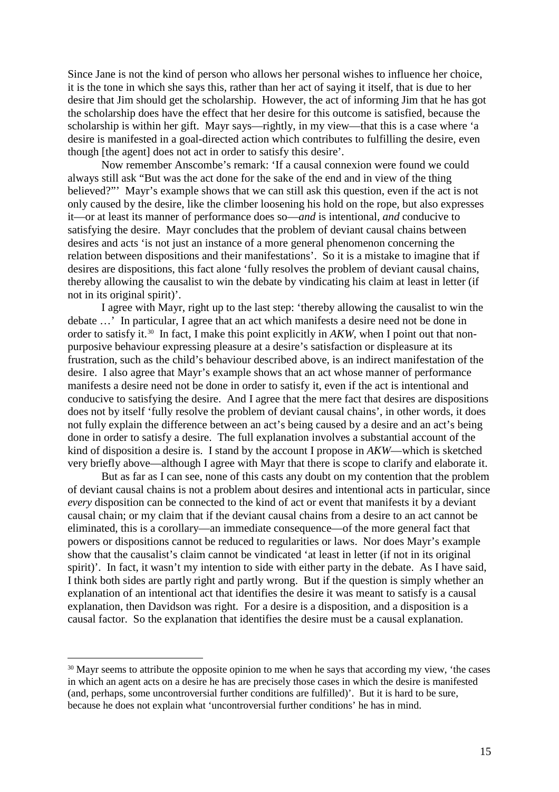Since Jane is not the kind of person who allows her personal wishes to influence her choice, it is the tone in which she says this, rather than her act of saying it itself, that is due to her desire that Jim should get the scholarship. However, the act of informing Jim that he has got the scholarship does have the effect that her desire for this outcome is satisfied, because the scholarship is within her gift. Mayr says—rightly, in my view—that this is a case where 'a desire is manifested in a goal-directed action which contributes to fulfilling the desire, even though [the agent] does not act in order to satisfy this desire'.

Now remember Anscombe's remark: 'If a causal connexion were found we could always still ask "But was the act done for the sake of the end and in view of the thing believed?"' Mayr's example shows that we can still ask this question, even if the act is not only caused by the desire, like the climber loosening his hold on the rope, but also expresses it—or at least its manner of performance does so—*and* is intentional, *and* conducive to satisfying the desire. Mayr concludes that the problem of deviant causal chains between desires and acts 'is not just an instance of a more general phenomenon concerning the relation between dispositions and their manifestations'. So it is a mistake to imagine that if desires are dispositions, this fact alone 'fully resolves the problem of deviant causal chains, thereby allowing the causalist to win the debate by vindicating his claim at least in letter (if not in its original spirit)'.

I agree with Mayr, right up to the last step: 'thereby allowing the causalist to win the debate …' In particular, I agree that an act which manifests a desire need not be done in order to satisfy it.<sup>[30](#page-14-0)</sup> In fact, I make this point explicitly in *AKW*, when I point out that nonpurposive behaviour expressing pleasure at a desire's satisfaction or displeasure at its frustration, such as the child's behaviour described above, is an indirect manifestation of the desire. I also agree that Mayr's example shows that an act whose manner of performance manifests a desire need not be done in order to satisfy it, even if the act is intentional and conducive to satisfying the desire. And I agree that the mere fact that desires are dispositions does not by itself 'fully resolve the problem of deviant causal chains', in other words, it does not fully explain the difference between an act's being caused by a desire and an act's being done in order to satisfy a desire. The full explanation involves a substantial account of the kind of disposition a desire is. I stand by the account I propose in *AKW*—which is sketched very briefly above—although I agree with Mayr that there is scope to clarify and elaborate it.

But as far as I can see, none of this casts any doubt on my contention that the problem of deviant causal chains is not a problem about desires and intentional acts in particular, since *every* disposition can be connected to the kind of act or event that manifests it by a deviant causal chain; or my claim that if the deviant causal chains from a desire to an act cannot be eliminated, this is a corollary—an immediate consequence—of the more general fact that powers or dispositions cannot be reduced to regularities or laws. Nor does Mayr's example show that the causalist's claim cannot be vindicated 'at least in letter (if not in its original spirit)'. In fact, it wasn't my intention to side with either party in the debate. As I have said, I think both sides are partly right and partly wrong. But if the question is simply whether an explanation of an intentional act that identifies the desire it was meant to satisfy is a causal explanation, then Davidson was right. For a desire is a disposition, and a disposition is a causal factor. So the explanation that identifies the desire must be a causal explanation.

<span id="page-14-0"></span><sup>&</sup>lt;sup>30</sup> Mayr seems to attribute the opposite opinion to me when he says that according my view, 'the cases in which an agent acts on a desire he has are precisely those cases in which the desire is manifested (and, perhaps, some uncontroversial further conditions are fulfilled)'. But it is hard to be sure, because he does not explain what 'uncontroversial further conditions' he has in mind.